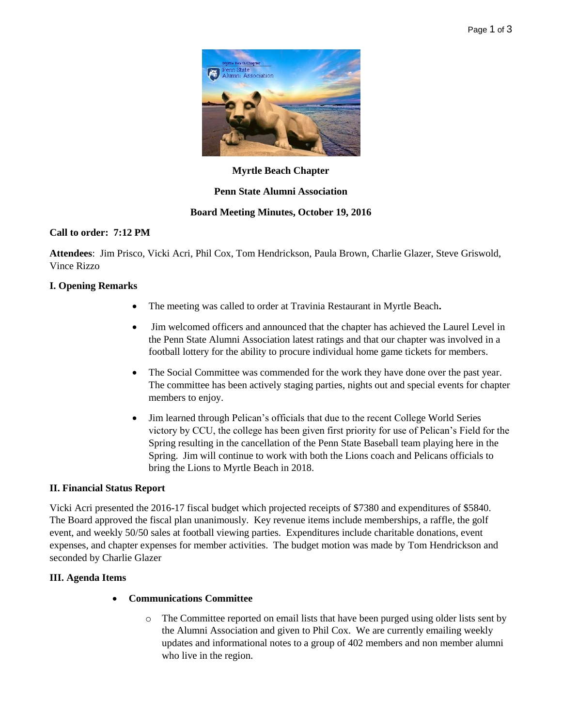

### **Myrtle Beach Chapter**

### **Penn State Alumni Association**

### **Board Meeting Minutes, October 19, 2016**

### **Call to order: 7:12 PM**

**Attendees**: Jim Prisco, Vicki Acri, Phil Cox, Tom Hendrickson, Paula Brown, Charlie Glazer, Steve Griswold, Vince Rizzo

### **I. Opening Remarks**

- The meeting was called to order at Travinia Restaurant in Myrtle Beach**.**
- Jim welcomed officers and announced that the chapter has achieved the Laurel Level in the Penn State Alumni Association latest ratings and that our chapter was involved in a football lottery for the ability to procure individual home game tickets for members.
- The Social Committee was commended for the work they have done over the past year. The committee has been actively staging parties, nights out and special events for chapter members to enjoy.
- Jim learned through Pelican's officials that due to the recent College World Series victory by CCU, the college has been given first priority for use of Pelican's Field for the Spring resulting in the cancellation of the Penn State Baseball team playing here in the Spring. Jim will continue to work with both the Lions coach and Pelicans officials to bring the Lions to Myrtle Beach in 2018.

#### **II. Financial Status Report**

Vicki Acri presented the 2016-17 fiscal budget which projected receipts of \$7380 and expenditures of \$5840. The Board approved the fiscal plan unanimously. Key revenue items include memberships, a raffle, the golf event, and weekly 50/50 sales at football viewing parties. Expenditures include charitable donations, event expenses, and chapter expenses for member activities. The budget motion was made by Tom Hendrickson and seconded by Charlie Glazer

# **III. Agenda Items**

# **Communications Committee**

o The Committee reported on email lists that have been purged using older lists sent by the Alumni Association and given to Phil Cox. We are currently emailing weekly updates and informational notes to a group of 402 members and non member alumni who live in the region.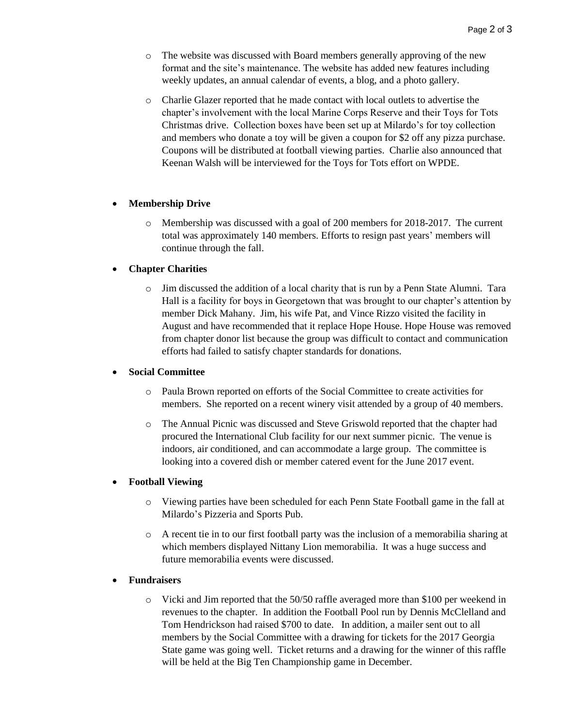- o The website was discussed with Board members generally approving of the new format and the site's maintenance. The website has added new features including weekly updates, an annual calendar of events, a blog, and a photo gallery.
- o Charlie Glazer reported that he made contact with local outlets to advertise the chapter's involvement with the local Marine Corps Reserve and their Toys for Tots Christmas drive. Collection boxes have been set up at Milardo's for toy collection and members who donate a toy will be given a coupon for \$2 off any pizza purchase. Coupons will be distributed at football viewing parties. Charlie also announced that Keenan Walsh will be interviewed for the Toys for Tots effort on WPDE.

### **Membership Drive**

o Membership was discussed with a goal of 200 members for 2018-2017. The current total was approximately 140 members. Efforts to resign past years' members will continue through the fall.

### **Chapter Charities**

o Jim discussed the addition of a local charity that is run by a Penn State Alumni. Tara Hall is a facility for boys in Georgetown that was brought to our chapter's attention by member Dick Mahany. Jim, his wife Pat, and Vince Rizzo visited the facility in August and have recommended that it replace Hope House. Hope House was removed from chapter donor list because the group was difficult to contact and communication efforts had failed to satisfy chapter standards for donations.

#### **Social Committee**

- o Paula Brown reported on efforts of the Social Committee to create activities for members. She reported on a recent winery visit attended by a group of 40 members.
- o The Annual Picnic was discussed and Steve Griswold reported that the chapter had procured the International Club facility for our next summer picnic. The venue is indoors, air conditioned, and can accommodate a large group. The committee is looking into a covered dish or member catered event for the June 2017 event.

#### **Football Viewing**

- o Viewing parties have been scheduled for each Penn State Football game in the fall at Milardo's Pizzeria and Sports Pub.
- o A recent tie in to our first football party was the inclusion of a memorabilia sharing at which members displayed Nittany Lion memorabilia. It was a huge success and future memorabilia events were discussed.

# **Fundraisers**

o Vicki and Jim reported that the 50/50 raffle averaged more than \$100 per weekend in revenues to the chapter. In addition the Football Pool run by Dennis McClelland and Tom Hendrickson had raised \$700 to date. In addition, a mailer sent out to all members by the Social Committee with a drawing for tickets for the 2017 Georgia State game was going well. Ticket returns and a drawing for the winner of this raffle will be held at the Big Ten Championship game in December.